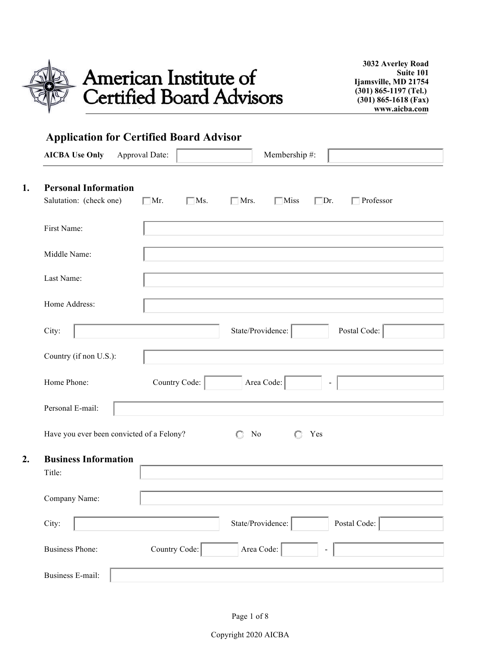

American Institute of<br>Certified Board Advisors

**3032 Averley Road Suite 101 Ijamsville, MD 21754 (301) 865-1197 (Tel.) (301) 865-1618 (Fax) www.aicba.com**

| <b>AICBA Use Only</b>                     | Approval Date: |               |                     | Membership #: |            |                  |
|-------------------------------------------|----------------|---------------|---------------------|---------------|------------|------------------|
| <b>Personal Information</b>               |                |               |                     |               |            |                  |
| Salutation: (check one)                   | $\Box$ Mr.     | $\Box$ Ms.    | $\Box$ Mrs.         | $\Box$ Miss   | $\Box$ Dr. | $\Box$ Professor |
| First Name:                               |                |               |                     |               |            |                  |
| Middle Name:                              |                |               |                     |               |            |                  |
| Last Name:                                |                |               |                     |               |            |                  |
| Home Address:                             |                |               |                     |               |            |                  |
| City:                                     |                |               | State/Providence:   |               |            | Postal Code:     |
| Country (if non U.S.):                    |                |               |                     |               |            |                  |
| Home Phone:                               |                | Country Code: |                     | Area Code:    |            |                  |
| Personal E-mail:                          |                |               |                     |               |            |                  |
| Have you ever been convicted of a Felony? |                |               | N <sub>0</sub><br>О | a             | Yes        |                  |
| <b>Business Information</b><br>Title:     |                |               |                     |               |            |                  |
| Company Name:                             |                |               |                     |               |            |                  |
| City:                                     |                |               | State/Providence:   |               |            | Postal Code:     |
| <b>Business Phone:</b>                    | Country Code:  |               | Area Code:          |               |            |                  |

Copyright 2020 AICBA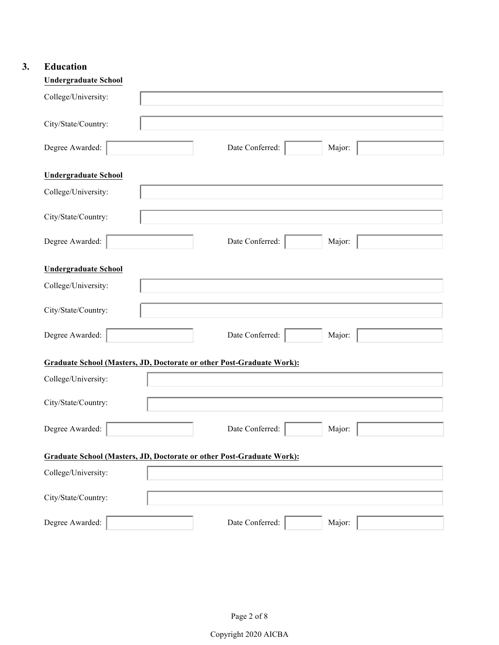# **3. Education**

| <b>Undergraduate School</b> |                                                                              |
|-----------------------------|------------------------------------------------------------------------------|
| College/University:         |                                                                              |
| City/State/Country:         |                                                                              |
| Degree Awarded:             | Date Conferred:<br>Major:                                                    |
| <b>Undergraduate School</b> |                                                                              |
| College/University:         |                                                                              |
| City/State/Country:         |                                                                              |
| Degree Awarded:             | Date Conferred:<br>Major:                                                    |
| <b>Undergraduate School</b> |                                                                              |
| College/University:         |                                                                              |
| City/State/Country:         |                                                                              |
| Degree Awarded:             | Date Conferred:<br>Major:                                                    |
|                             | <b>Graduate School (Masters, JD, Doctorate or other Post-Graduate Work):</b> |
| College/University:         |                                                                              |
| City/State/Country:         |                                                                              |
| Degree Awarded:             | Date Conferred:<br>Major:                                                    |
|                             | <b>Graduate School (Masters, JD, Doctorate or other Post-Graduate Work):</b> |
| College/University:         |                                                                              |
| City/State/Country:         |                                                                              |
| Degree Awarded:             | Date Conferred:<br>Major:                                                    |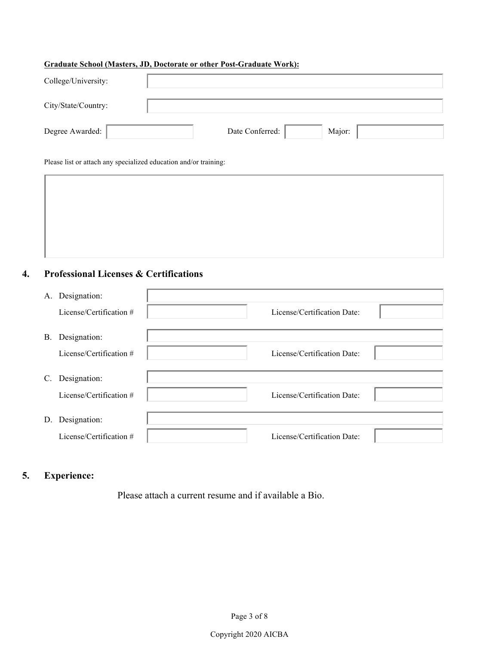#### **Graduate School (Masters, JD, Doctorate or other Post-Graduate Work):**

| College/University: |                           |
|---------------------|---------------------------|
| City/State/Country: |                           |
| Degree Awarded:     | Date Conferred:<br>Major: |

Please list or attach any specialized education and/or training:

# **4. Professional Licenses & Certifications**

| A.        | Designation:            |                             |  |
|-----------|-------------------------|-----------------------------|--|
|           | License/Certification # | License/Certification Date: |  |
| <b>B.</b> | Designation:            |                             |  |
|           | License/Certification # | License/Certification Date: |  |
| C.        | Designation:            |                             |  |
|           | License/Certification # | License/Certification Date: |  |
| D.        | Designation:            |                             |  |
|           | License/Certification # | License/Certification Date: |  |

# **5. Experience:**

Please attach a current resume and if available a Bio.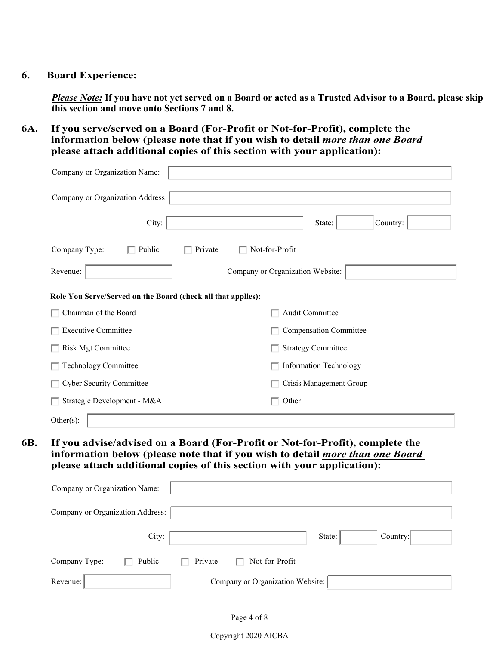### **6. Board Experience:**

*Please Note:* **If you have not yet served on a Board or acted as a Trusted Advisor to a Board, please skip this section and move onto Sections 7 and 8.** 

**6A. If you serve/served on a Board (For-Profit or Not-for-Profit), complete the information below (please note that if you wish to detail** *more than one Board* **please attach additional copies of this section with your application):** 

| Company or Organization Name:                                |                                                                                                                                                                                                                                           |  |
|--------------------------------------------------------------|-------------------------------------------------------------------------------------------------------------------------------------------------------------------------------------------------------------------------------------------|--|
| Company or Organization Address:                             |                                                                                                                                                                                                                                           |  |
| City:                                                        | State:<br>Country:                                                                                                                                                                                                                        |  |
| Company Type:<br>$\Box$ Public<br>$\Box$ Private             | $\Box$ Not-for-Profit                                                                                                                                                                                                                     |  |
| Revenue:                                                     | Company or Organization Website:                                                                                                                                                                                                          |  |
| Role You Serve/Served on the Board (check all that applies): |                                                                                                                                                                                                                                           |  |
| Chairman of the Board                                        | Audit Committee                                                                                                                                                                                                                           |  |
| <b>Executive Committee</b>                                   | <b>Compensation Committee</b>                                                                                                                                                                                                             |  |
| Risk Mgt Committee                                           | <b>Strategy Committee</b>                                                                                                                                                                                                                 |  |
| Technology Committee                                         | <b>Information Technology</b>                                                                                                                                                                                                             |  |
| <b>Cyber Security Committee</b>                              | Crisis Management Group                                                                                                                                                                                                                   |  |
| Strategic Development - M&A                                  | Other                                                                                                                                                                                                                                     |  |
| Other $(s)$ :                                                |                                                                                                                                                                                                                                           |  |
| Company or Organization Name:                                | If you advise/advised on a Board (For-Profit or Not-for-Profit), complete the<br>information below (please note that if you wish to detail more than one Board<br>please attach additional copies of this section with your application): |  |
| Company or Organization Address:                             |                                                                                                                                                                                                                                           |  |
| City:                                                        | Country:<br>State:                                                                                                                                                                                                                        |  |
| Company Type:<br>Public                                      | Not-for-Profit<br>Private                                                                                                                                                                                                                 |  |
| Revenue:                                                     | Company or Organization Website:                                                                                                                                                                                                          |  |

Copyright 2020 AICBA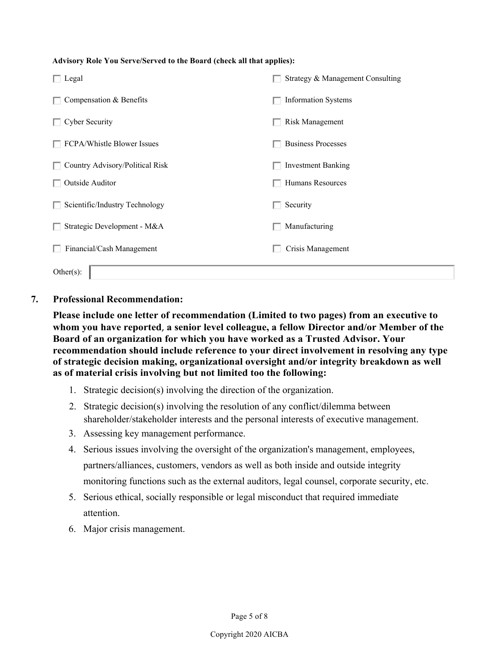#### **Advisory Role You Serve/Served to the Board (check all that applies):**

| Legal                           | Strategy & Management Consulting |
|---------------------------------|----------------------------------|
| Compensation & Benefits         | <b>Information Systems</b>       |
| <b>Cyber Security</b>           | <b>Risk Management</b>           |
| FCPA/Whistle Blower Issues      | <b>Business Processes</b>        |
| Country Advisory/Political Risk | <b>Investment Banking</b>        |
| Outside Auditor                 | Humans Resources                 |
| Scientific/Industry Technology  | Security                         |
| Strategic Development - M&A     | Manufacturing                    |
| Financial/Cash Management       | Crisis Management                |
| Other(s):                       |                                  |

### **7. Professional Recommendation:**

**Please include one letter of recommendation (Limited to two pages) from an executive to whom you have reported**, **a senior level colleague, a fellow Director and/or Member of the Board of an organization for which you have worked as a Trusted Advisor. Your recommendation should include reference to your direct involvement in resolving any type of strategic decision making, organizational oversight and/or integrity breakdown as well as of material crisis involving but not limited too the following:** 

- 1. Strategic decision(s) involving the direction of the organization.
- 2. Strategic decision(s) involving the resolution of any conflict/dilemma between shareholder/stakeholder interests and the personal interests of executive management.
- 3. Assessing key management performance.
- 4. Serious issues involving the oversight of the organization's management, employees, partners/alliances, customers, vendors as well as both inside and outside integrity monitoring functions such as the external auditors, legal counsel, corporate security, etc.
- 5. Serious ethical, socially responsible or legal misconduct that required immediate attention.
- 6. Major crisis management.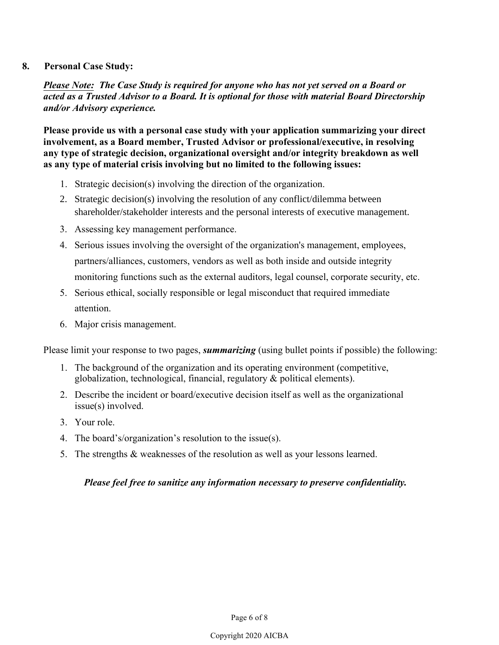# **8. Personal Case Study:**

*Please Note: The Case Study is required for anyone who has not yet served on a Board or acted as a Trusted Advisor to a Board. It is optional for those with material Board Directorship and/or Advisory experience.* 

**Please provide us with a personal case study with your application summarizing your direct involvement, as a Board member, Trusted Advisor or professional/executive, in resolving any type of strategic decision, organizational oversight and/or integrity breakdown as well as any type of material crisis involving but no limited to the following issues:**

- 1. Strategic decision(s) involving the direction of the organization.
- 2. Strategic decision(s) involving the resolution of any conflict/dilemma between shareholder/stakeholder interests and the personal interests of executive management.
- 3. Assessing key management performance.
- 4. Serious issues involving the oversight of the organization's management, employees, partners/alliances, customers, vendors as well as both inside and outside integrity monitoring functions such as the external auditors, legal counsel, corporate security, etc.
- 5. Serious ethical, socially responsible or legal misconduct that required immediate attention.
- 6. Major crisis management.

Please limit your response to two pages, *summarizing* (using bullet points if possible) the following:

- 1. The background of the organization and its operating environment (competitive, globalization, technological, financial, regulatory & political elements).
- 2. Describe the incident or board/executive decision itself as well as the organizational issue(s) involved.
- 3. Your role.
- 4. The board's/organization's resolution to the issue(s).
- 5. The strengths & weaknesses of the resolution as well as your lessons learned.

### *Please feel free to sanitize any information necessary to preserve confidentiality.*

### Copyright 2020 AICBA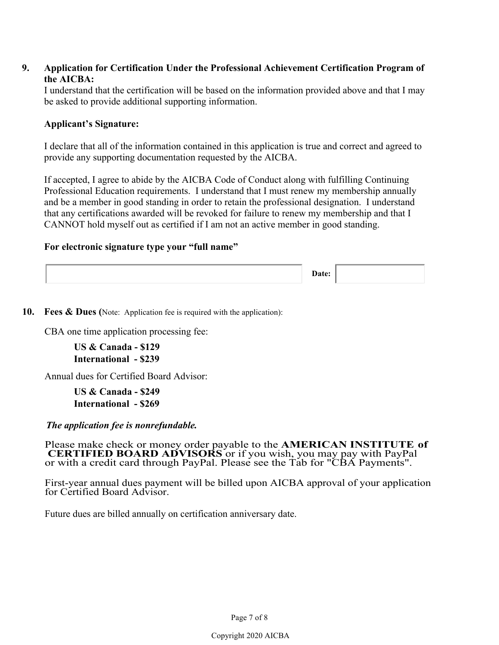# **9. Application for Certification Under the Professional Achievement Certification Program of the AICBA:**

I understand that the certification will be based on the information provided above and that I may be asked to provide additional supporting information.

# **Applicant's Signature:**

I declare that all of the information contained in this application is true and correct and agreed to provide any supporting documentation requested by the AICBA.

If accepted, I agree to abide by the AICBA Code of Conduct along with fulfilling Continuing Professional Education requirements. I understand that I must renew my membership annually and be a member in good standing in order to retain the professional designation. I understand that any certifications awarded will be revoked for failure to renew my membership and that I CANNOT hold myself out as certified if I am not an active member in good standing.

### **For electronic signature type your "full name"**

**Date:**

**10. Fees & Dues (**Note: Application fee is required with the application):

CBA one time application processing fee:

**US & Canada - \$129 International - \$239**

Annual dues for Certified Board Advisor:

**US & Canada - \$249 International - \$269**

*The application fee is nonrefundable.*

Please make check or money order payable to the **AMERICAN INSTITUTE of CERTIFIED BOARD ADVISORS** or if you wish, you may pay with PayPal or with a credit card through PayPal. Please see the Tab for "CBA Payments".

First-year annual dues payment will be billed upon AICBA approval of your application for Certified Board Advisor.

Future dues are billed annually on certification anniversary date.